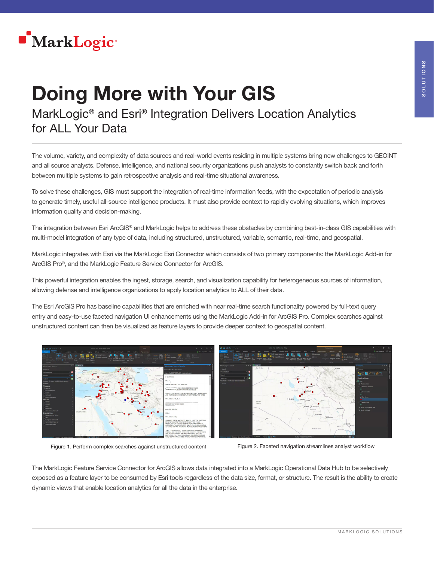

## Doing More with Your GIS

MarkLogic® and Esri® Integration Delivers Location Analytics for ALL Your Data

The volume, variety, and complexity of data sources and real-world events residing in multiple systems bring new challenges to GEOINT and all source analysts. Defense, intelligence, and national security organizations push analysts to constantly switch back and forth between multiple systems to gain retrospective analysis and real-time situational awareness.

To solve these challenges, GIS must support the integration of real-time information feeds, with the expectation of periodic analysis to generate timely, useful all-source intelligence products. It must also provide context to rapidly evolving situations, which improves information quality and decision-making.

The integration between Esri ArcGIS® and MarkLogic helps to address these obstacles by combining best-in-class GIS capabilities with multi-model integration of any type of data, including structured, unstructured, variable, semantic, real-time, and geospatial.

MarkLogic integrates with Esri via the MarkLogic Esri Connector which consists of two primary components: the MarkLogic Add-in for ArcGIS Pro®, and the MarkLogic Feature Service Connector for ArcGIS.

This powerful integration enables the ingest, storage, search, and visualization capability for heterogeneous sources of information, allowing defense and intelligence organizations to apply location analytics to ALL of their data.

The Esri ArcGIS Pro has baseline capabilities that are enriched with near real-time search functionality powered by full-text query entry and easy-to-use faceted navigation UI enhancements using the MarkLogic Add-in for ArcGIS Pro. Complex searches against unstructured content can then be visualized as feature layers to provide deeper context to geospatial content.



Figure 1. Perform complex searches against unstructured content Figure 2. Faceted navigation streamlines analyst workflow

The MarkLogic Feature Service Connector for ArcGIS allows data integrated into a MarkLogic Operational Data Hub to be selectively exposed as a feature layer to be consumed by Esri tools regardless of the data size, format, or structure. The result is the ability to create dynamic views that enable location analytics for all the data in the enterprise.